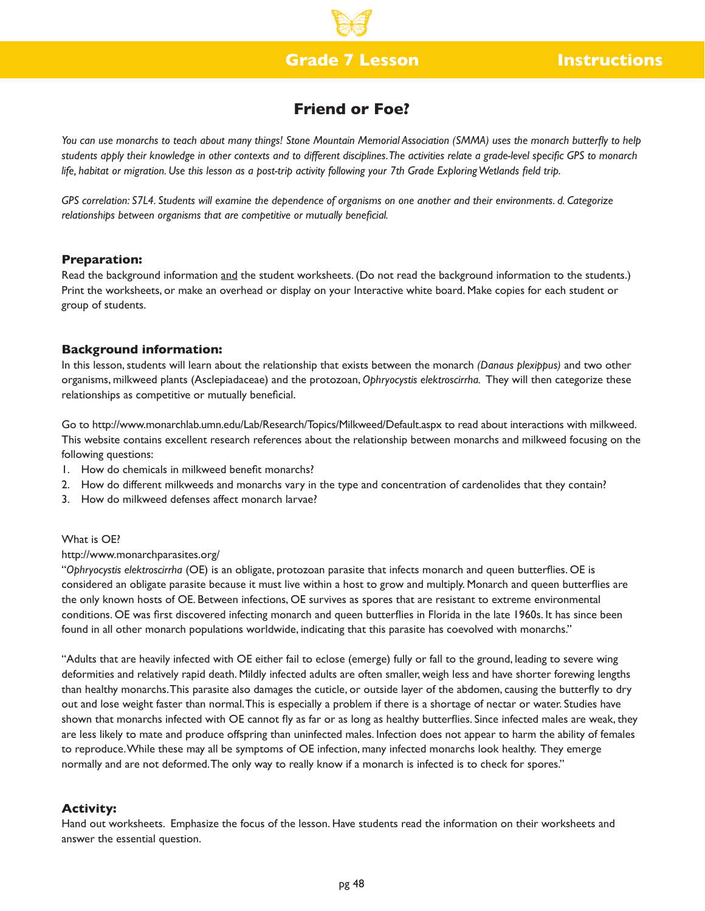# **Grade 7 Lesson Instructions**

# **Friend or Foe?**

*You can use monarchs to teach about many things! Stone Mountain Memorial Association (SMMA) uses the monarch butterfly to help students apply their knowledge in other contexts and to different disciplines. The activities relate a grade-level specific GPS to monarch life, habitat or migration. Use this lesson as a post-trip activity following your 7th Grade Exploring Wetlands field trip.*

*GPS correlation: S7L4. Students will examine the dependence of organisms on one another and their environments. d. Categorize relationships between organisms that are competitive or mutually beneficial.* 

### **Preparation:**

Read the background information and the student worksheets. (Do not read the background information to the students.) Print the worksheets, or make an overhead or display on your Interactive white board. Make copies for each student or group of students.

### **Background information:**

In this lesson, students will learn about the relationship that exists between the monarch *(Danaus plexippus)* and two other organisms, milkweed plants (Asclepiadaceae) and the protozoan, *Ophryocystis elektroscirrha.* They will then categorize these relationships as competitive or mutually beneficial.

Go to http://www.monarchlab.umn.edu/Lab/Research/Topics/Milkweed/Default.aspx to read about interactions with milkweed. This website contains excellent research references about the relationship between monarchs and milkweed focusing on the following questions:

- 1. How do chemicals in milkweed benefit monarchs?
- 2. How do different milkweeds and monarchs vary in the type and concentration of cardenolides that they contain?
- 3. How do milkweed defenses affect monarch larvae?

### What is OE?

### http://www.monarchparasites.org/

"*Ophryocystis elektroscirrha* (OE) is an obligate, protozoan parasite that infects monarch and queen butterflies. OE is considered an obligate parasite because it must live within a host to grow and multiply. Monarch and queen butterflies are the only known hosts of OE. Between infections, OE survives as spores that are resistant to extreme environmental conditions. OE was first discovered infecting monarch and queen butterflies in Florida in the late 1960s. It has since been found in all other monarch populations worldwide, indicating that this parasite has coevolved with monarchs."

"Adults that are heavily infected with OE either fail to eclose (emerge) fully or fall to the ground, leading to severe wing deformities and relatively rapid death. Mildly infected adults are often smaller, weigh less and have shorter forewing lengths than healthy monarchs. This parasite also damages the cuticle, or outside layer of the abdomen, causing the butterfly to dry out and lose weight faster than normal. This is especially a problem if there is a shortage of nectar or water. Studies have shown that monarchs infected with OE cannot fly as far or as long as healthy butterflies. Since infected males are weak, they are less likely to mate and produce offspring than uninfected males. Infection does not appear to harm the ability of females to reproduce. While these may all be symptoms of OE infection, many infected monarchs look healthy. They emerge normally and are not deformed. The only way to really know if a monarch is infected is to check for spores."

### **Activity:**

Hand out worksheets. Emphasize the focus of the lesson. Have students read the information on their worksheets and answer the essential question.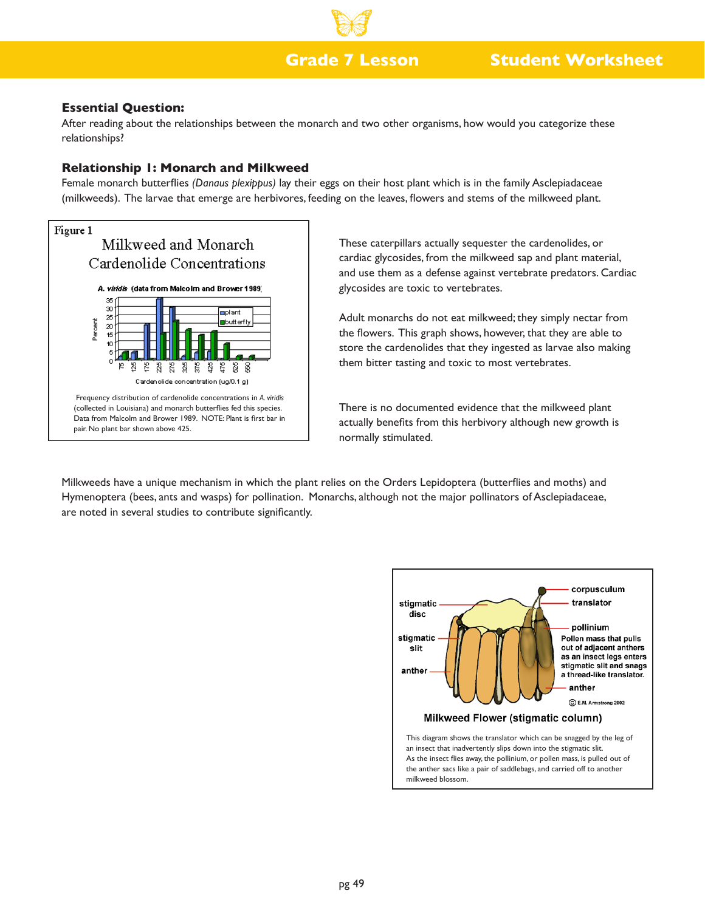## **Grade 7 Lesson**

# **Student Worksheet**

### **Essential Question:**

After reading about the relationships between the monarch and two other organisms, how would you categorize these relationships?

### **Relationship 1: Monarch and Milkweed**

Female monarch butterflies *(Danaus plexippus)* lay their eggs on their host plant which is in the family Asclepiadaceae (milkweeds). The larvae that emerge are herbivores, feeding on the leaves, flowers and stems of the milkweed plant.



These caterpillars actually sequester the cardenolides, or cardiac glycosides, from the milkweed sap and plant material, and use them as a defense against vertebrate predators. Cardiac glycosides are toxic to vertebrates.

Adult monarchs do not eat milkweed; they simply nectar from the flowers. This graph shows, however, that they are able to store the cardenolides that they ingested as larvae also making them bitter tasting and toxic to most vertebrates.

There is no documented evidence that the milkweed plant actually benefits from this herbivory although new growth is normally stimulated.

Milkweeds have a unique mechanism in which the plant relies on the Orders Lepidoptera (butterflies and moths) and Hymenoptera (bees, ants and wasps) for pollination. Monarchs, although not the major pollinators of Asclepiadaceae, are noted in several studies to contribute significantly.

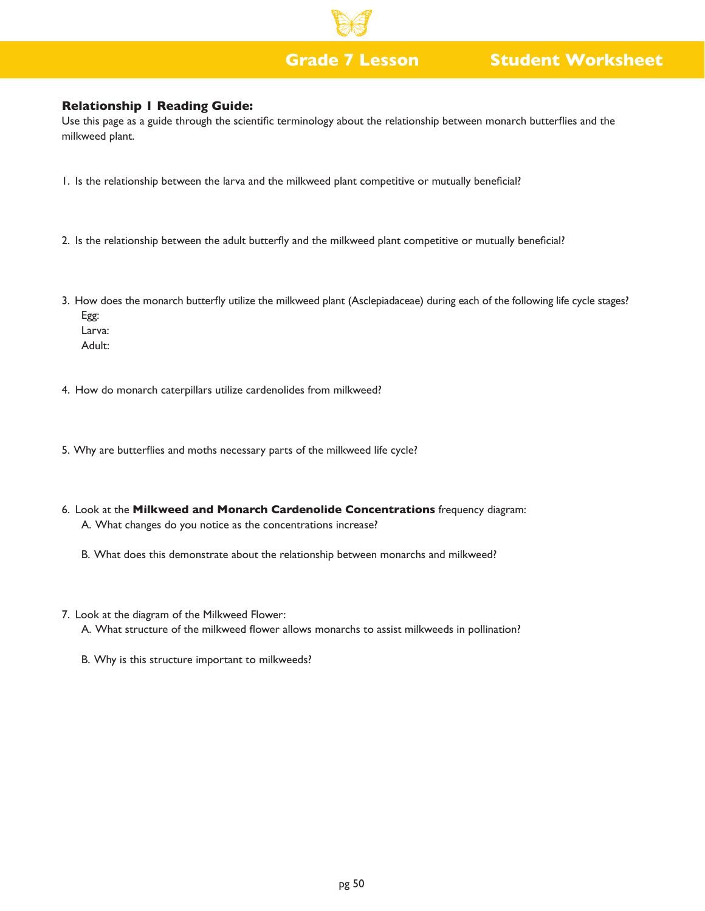# **Grade 7 Lesson Student Worksheet**

### **Relationship 1 Reading Guide:**

Use this page as a guide through the scientific terminology about the relationship between monarch butterflies and the milkweed plant.

- 1. Is the relationship between the larva and the milkweed plant competitive or mutually beneficial?
- 2. Is the relationship between the adult butterfly and the milkweed plant competitive or mutually beneficial?
- 3. How does the monarch butterfly utilize the milkweed plant (Asclepiadaceae) during each of the following life cycle stages? Egg: Larva:

Adult:

- 4. How do monarch caterpillars utilize cardenolides from milkweed?
- 5. Why are butterflies and moths necessary parts of the milkweed life cycle?
- 6. Look at the **Milkweed and Monarch Cardenolide Concentrations** frequency diagram: A. What changes do you notice as the concentrations increase?
	- B. What does this demonstrate about the relationship between monarchs and milkweed?
- 7. Look at the diagram of the Milkweed Flower:
	- A. What structure of the milkweed flower allows monarchs to assist milkweeds in pollination?
	- B. Why is this structure important to milkweeds?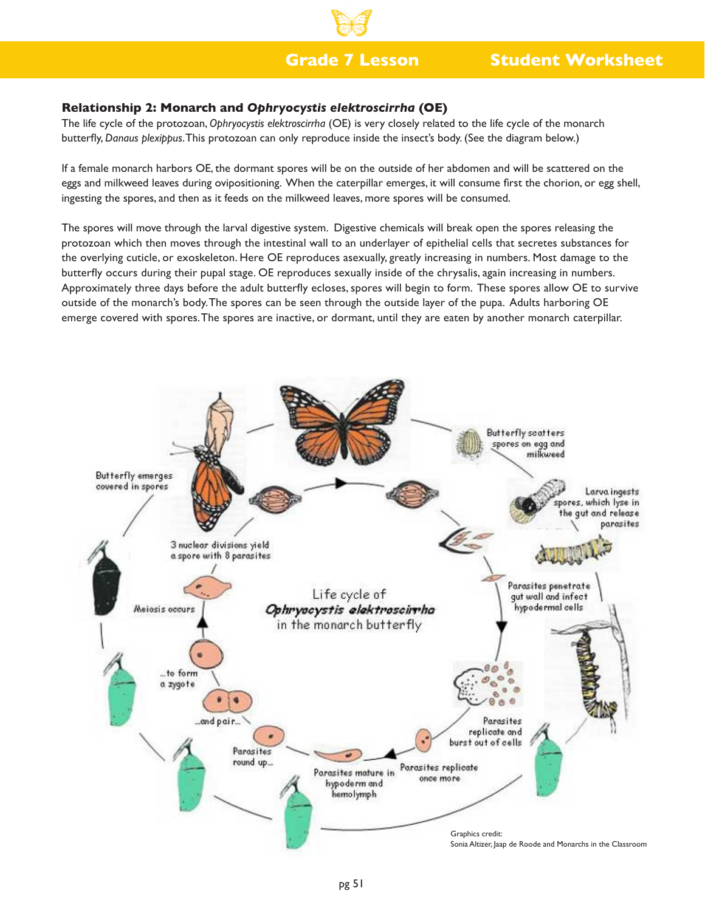## **Grade 7 Lesson**

# **Student Worksheet**

## **Relationship 2: Monarch and** *Ophryocystis elektroscirrha* **(OE)**

The life cycle of the protozoan, *Ophryocystis elektroscirrha* (OE) is very closely related to the life cycle of the monarch butterfly, *Danaus plexippus*. This protozoan can only reproduce inside the insect's body. (See the diagram below.)

If a female monarch harbors OE, the dormant spores will be on the outside of her abdomen and will be scattered on the eggs and milkweed leaves during ovipositioning. When the caterpillar emerges, it will consume first the chorion, or egg shell, ingesting the spores, and then as it feeds on the milkweed leaves, more spores will be consumed.

The spores will move through the larval digestive system. Digestive chemicals will break open the spores releasing the protozoan which then moves through the intestinal wall to an underlayer of epithelial cells that secretes substances for the overlying cuticle, or exoskeleton. Here OE reproduces asexually, greatly increasing in numbers. Most damage to the butterfly occurs during their pupal stage. OE reproduces sexually inside of the chrysalis, again increasing in numbers. Approximately three days before the adult butterfly ecloses, spores will begin to form. These spores allow OE to survive outside of the monarch's body. The spores can be seen through the outside layer of the pupa. Adults harboring OE emerge covered with spores. The spores are inactive, or dormant, until they are eaten by another monarch caterpillar.

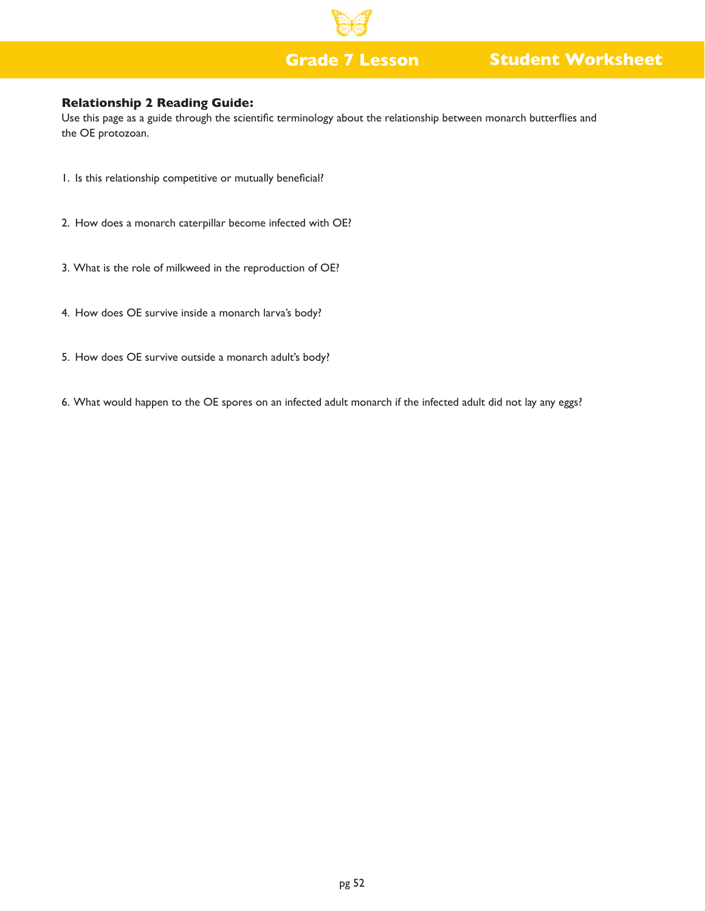# **Grade 7 Lesson Student Worksheet**

## **Relationship 2 Reading Guide:**

Use this page as a guide through the scientific terminology about the relationship between monarch butterflies and the OE protozoan.

- 1. Is this relationship competitive or mutually beneficial?
- 2. How does a monarch caterpillar become infected with OE?
- 3. What is the role of milkweed in the reproduction of OE?
- 4. How does OE survive inside a monarch larva's body?
- 5. How does OE survive outside a monarch adult's body?
- 6. What would happen to the OE spores on an infected adult monarch if the infected adult did not lay any eggs?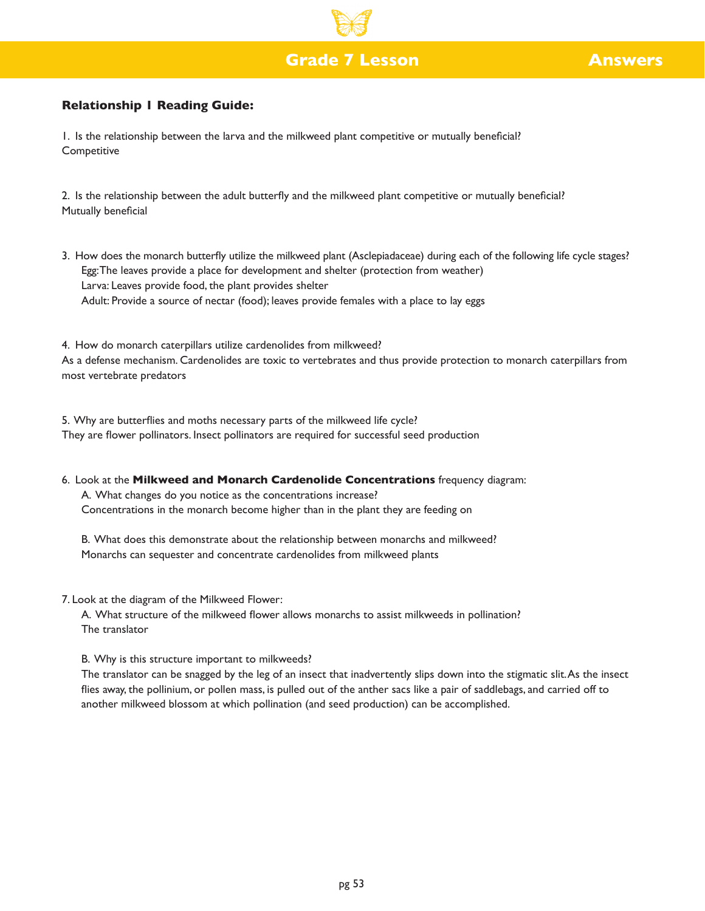# **Grade 7 Lesson Answers**

## **Relationship 1 Reading Guide:**

1. Is the relationship between the larva and the milkweed plant competitive or mutually beneficial? **Competitive** 

2. Is the relationship between the adult butterfly and the milkweed plant competitive or mutually beneficial? Mutually beneficial

3. How does the monarch butterfly utilize the milkweed plant (Asclepiadaceae) during each of the following life cycle stages? Egg: The leaves provide a place for development and shelter (protection from weather) Larva: Leaves provide food, the plant provides shelter Adult: Provide a source of nectar (food); leaves provide females with a place to lay eggs

4. How do monarch caterpillars utilize cardenolides from milkweed? As a defense mechanism. Cardenolides are toxic to vertebrates and thus provide protection to monarch caterpillars from most vertebrate predators

5. Why are butterflies and moths necessary parts of the milkweed life cycle? They are flower pollinators. Insect pollinators are required for successful seed production

6. Look at the **Milkweed and Monarch Cardenolide Concentrations** frequency diagram: A. What changes do you notice as the concentrations increase? Concentrations in the monarch become higher than in the plant they are feeding on

B. What does this demonstrate about the relationship between monarchs and milkweed? Monarchs can sequester and concentrate cardenolides from milkweed plants

7. Look at the diagram of the Milkweed Flower:

A. What structure of the milkweed flower allows monarchs to assist milkweeds in pollination? The translator

B. Why is this structure important to milkweeds?

The translator can be snagged by the leg of an insect that inadvertently slips down into the stigmatic slit. As the insect flies away, the pollinium, or pollen mass, is pulled out of the anther sacs like a pair of saddlebags, and carried off to another milkweed blossom at which pollination (and seed production) can be accomplished.